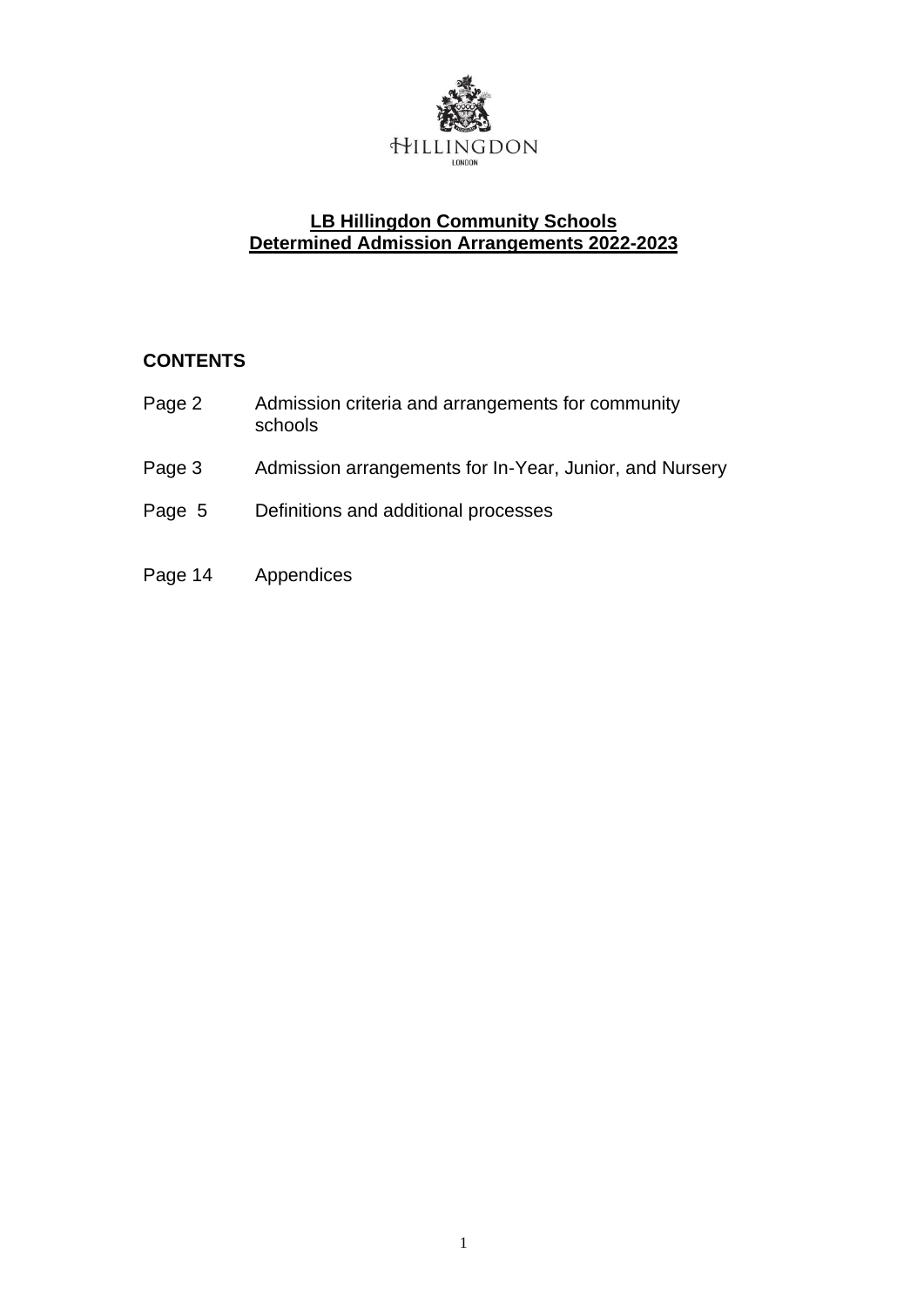

## **LB Hillingdon Community Schools Determined Admission Arrangements 2022-2023**

# **CONTENTS**

| Page 2 | Admission criteria and arrangements for community<br>schools |
|--------|--------------------------------------------------------------|
| Page 3 | Admission arrangements for In-Year, Junior, and Nursery      |
| Page 5 | Definitions and additional processes                         |

Page 14 Appendices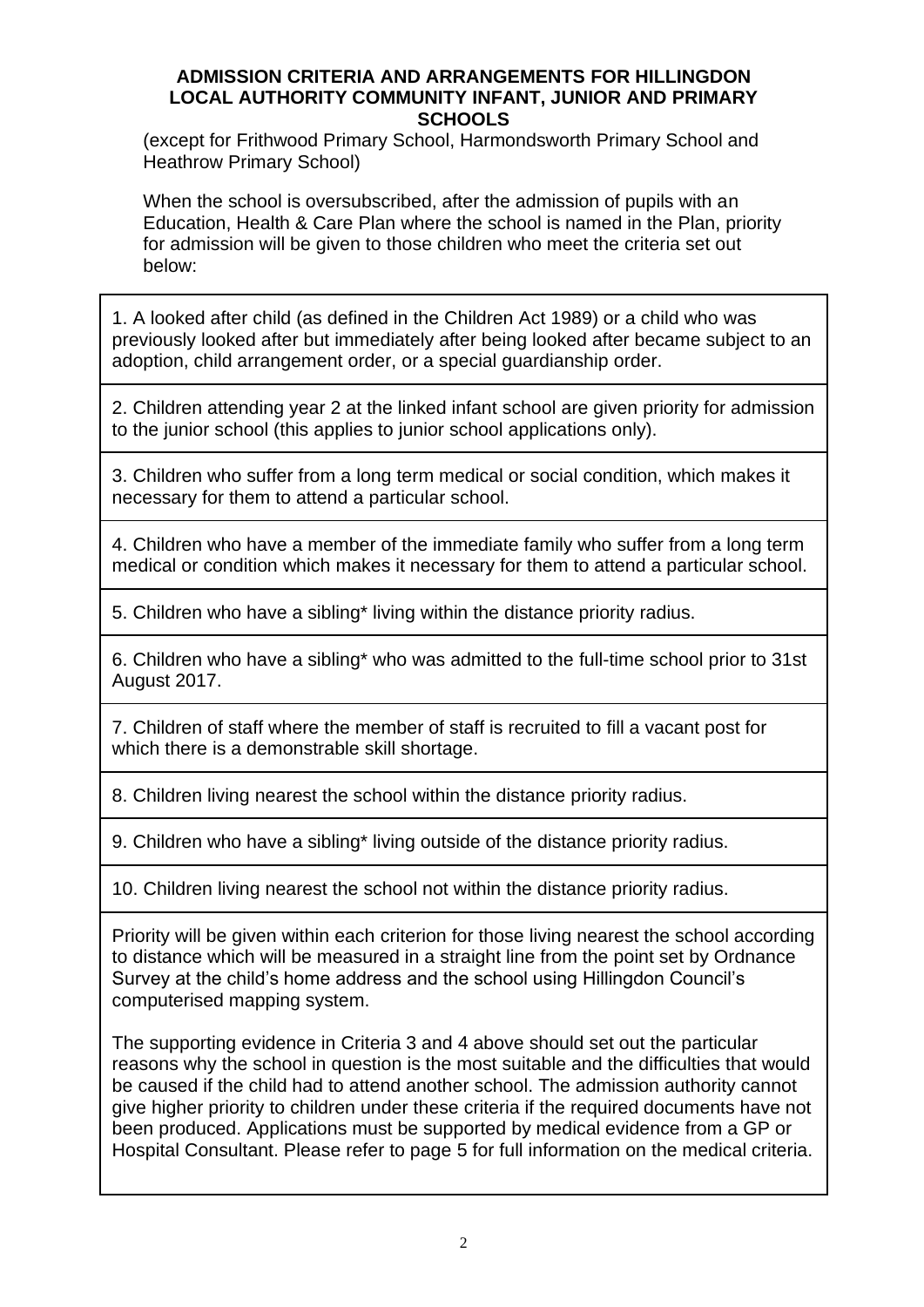#### **ADMISSION CRITERIA AND ARRANGEMENTS FOR HILLINGDON LOCAL AUTHORITY COMMUNITY INFANT, JUNIOR AND PRIMARY SCHOOLS**

(except for Frithwood Primary School, Harmondsworth Primary School and Heathrow Primary School)

When the school is oversubscribed, after the admission of pupils with an Education, Health & Care Plan where the school is named in the Plan, priority for admission will be given to those children who meet the criteria set out below:

1. A looked after child (as defined in the Children Act 1989) or a child who was previously looked after but immediately after being looked after became subject to an adoption, child arrangement order, or a special guardianship order.

2. Children attending year 2 at the linked infant school are given priority for admission to the junior school (this applies to junior school applications only).

3. Children who suffer from a long term medical or social condition, which makes it necessary for them to attend a particular school.

4. Children who have a member of the immediate family who suffer from a long term medical or condition which makes it necessary for them to attend a particular school.

5. Children who have a sibling\* living within the distance priority radius.

6. Children who have a sibling\* who was admitted to the full-time school prior to 31st August 2017.

7. Children of staff where the member of staff is recruited to fill a vacant post for which there is a demonstrable skill shortage.

8. Children living nearest the school within the distance priority radius.

9. Children who have a sibling\* living outside of the distance priority radius.

10. Children living nearest the school not within the distance priority radius.

Priority will be given within each criterion for those living nearest the school according to distance which will be measured in a straight line from the point set by Ordnance Survey at the child's home address and the school using Hillingdon Council's computerised mapping system.

The supporting evidence in Criteria 3 and 4 above should set out the particular reasons why the school in question is the most suitable and the difficulties that would be caused if the child had to attend another school. The admission authority cannot give higher priority to children under these criteria if the required documents have not been produced. Applications must be supported by medical evidence from a GP or Hospital Consultant. Please refer to page 5 for full information on the medical criteria.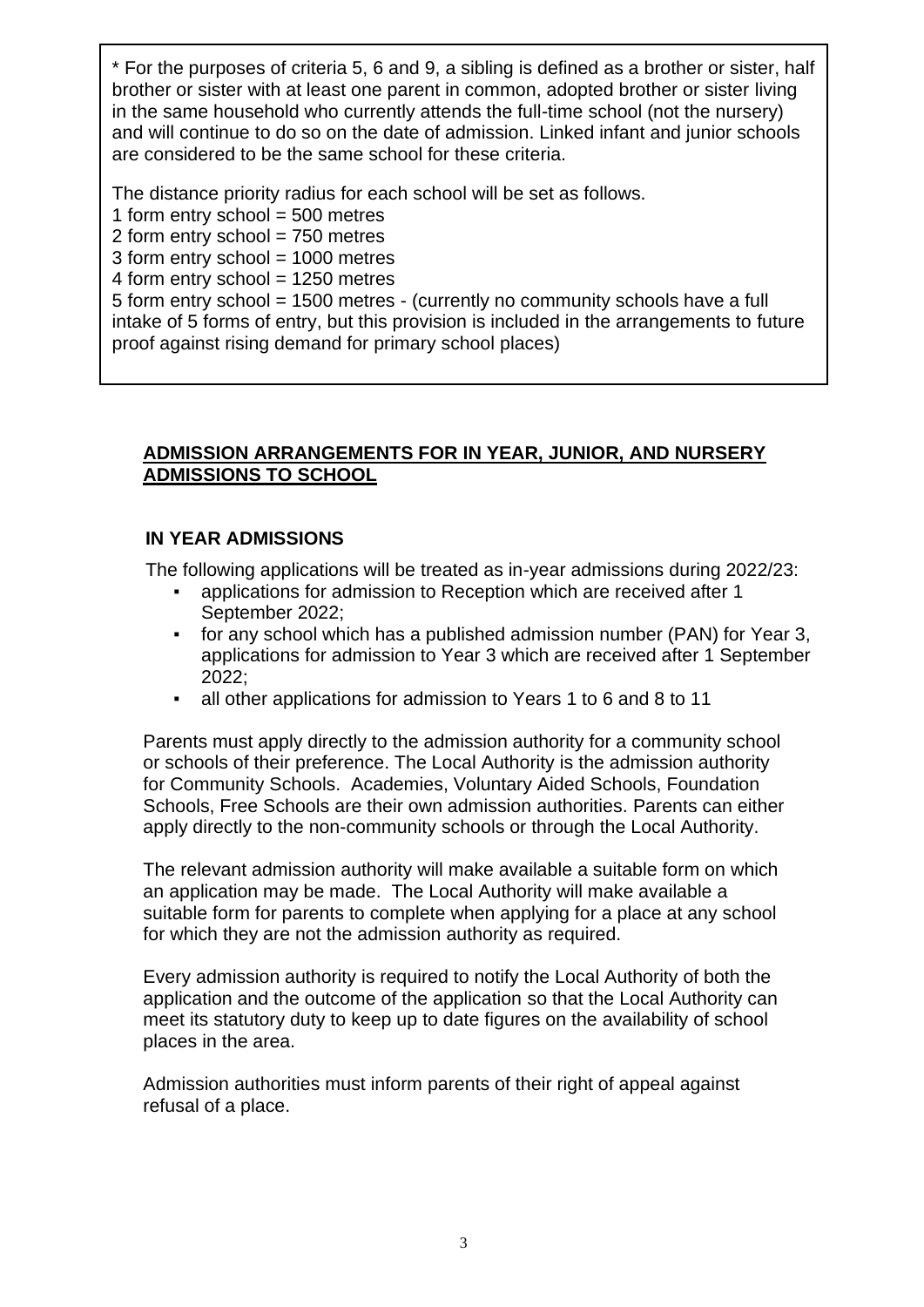\* For the purposes of criteria 5, 6 and 9, a sibling is defined as a brother or sister, half brother or sister with at least one parent in common, adopted brother or sister living in the same household who currently attends the full-time school (not the nursery) and will continue to do so on the date of admission. Linked infant and junior schools are considered to be the same school for these criteria.

The distance priority radius for each school will be set as follows.

1 form entry school  $=$  500 metres

2 form entry school = 750 metres

3 form entry school = 1000 metres

4 form entry school = 1250 metres

5 form entry school = 1500 metres - (currently no community schools have a full intake of 5 forms of entry, but this provision is included in the arrangements to future proof against rising demand for primary school places)

### **ADMISSION ARRANGEMENTS FOR IN YEAR, JUNIOR, AND NURSERY ADMISSIONS TO SCHOOL**

## **IN YEAR ADMISSIONS**

The following applications will be treated as in-year admissions during 2022/23:

- applications for admission to Reception which are received after 1 September 2022;
- for any school which has a published admission number (PAN) for Year 3, applications for admission to Year 3 which are received after 1 September 2022;
- all other applications for admission to Years 1 to 6 and 8 to 11

Parents must apply directly to the admission authority for a community school or schools of their preference. The Local Authority is the admission authority for Community Schools. Academies, Voluntary Aided Schools, Foundation Schools, Free Schools are their own admission authorities. Parents can either apply directly to the non-community schools or through the Local Authority.

The relevant admission authority will make available a suitable form on which an application may be made. The Local Authority will make available a suitable form for parents to complete when applying for a place at any school for which they are not the admission authority as required.

Every admission authority is required to notify the Local Authority of both the application and the outcome of the application so that the Local Authority can meet its statutory duty to keep up to date figures on the availability of school places in the area.

Admission authorities must inform parents of their right of appeal against refusal of a place.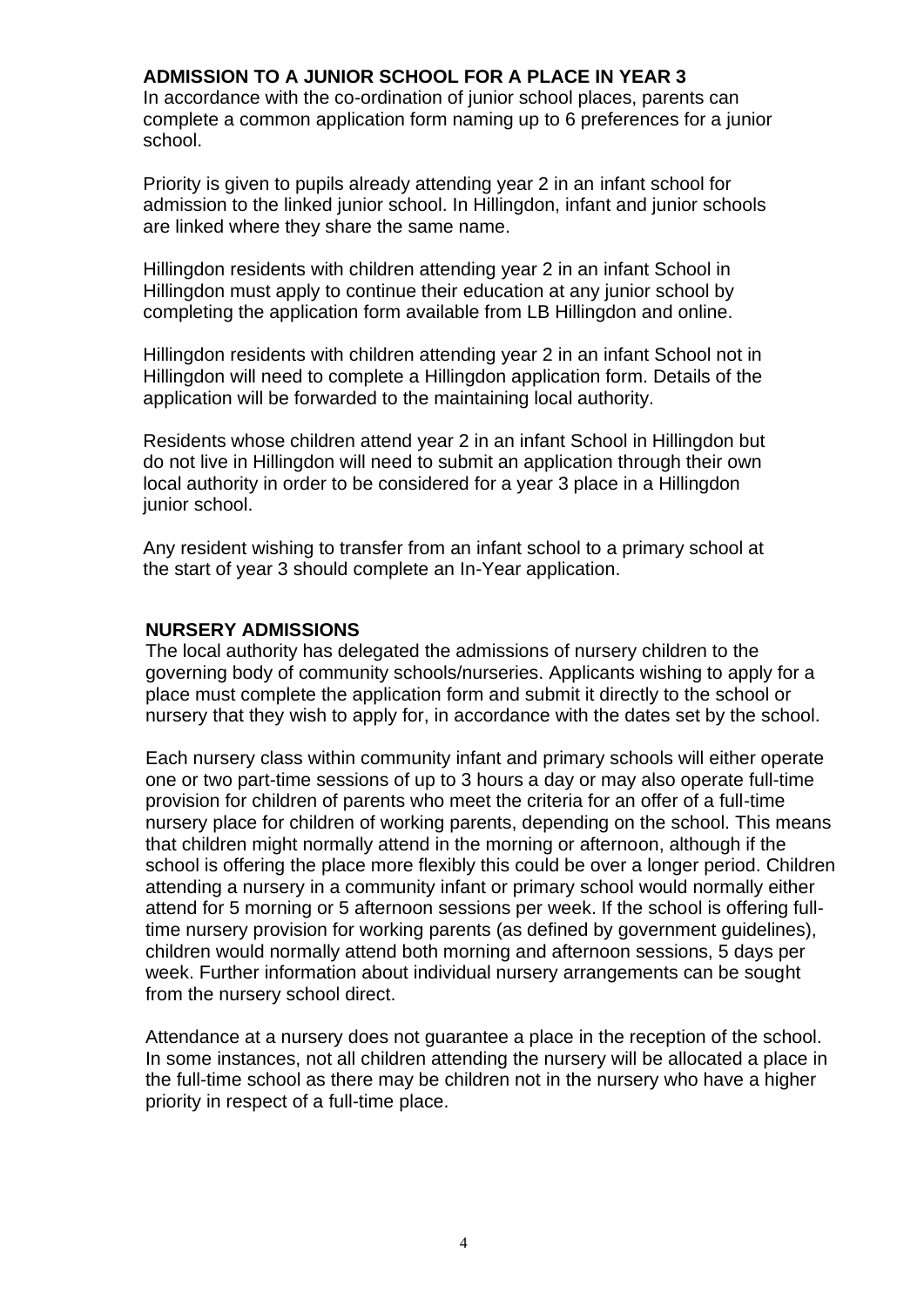### **ADMISSION TO A JUNIOR SCHOOL FOR A PLACE IN YEAR 3**

In accordance with the co-ordination of junior school places, parents can complete a common application form naming up to 6 preferences for a junior school.

Priority is given to pupils already attending year 2 in an infant school for admission to the linked junior school. In Hillingdon, infant and junior schools are linked where they share the same name.

Hillingdon residents with children attending year 2 in an infant School in Hillingdon must apply to continue their education at any junior school by completing the application form available from LB Hillingdon and online.

Hillingdon residents with children attending year 2 in an infant School not in Hillingdon will need to complete a Hillingdon application form. Details of the application will be forwarded to the maintaining local authority.

Residents whose children attend year 2 in an infant School in Hillingdon but do not live in Hillingdon will need to submit an application through their own local authority in order to be considered for a year 3 place in a Hillingdon junior school.

Any resident wishing to transfer from an infant school to a primary school at the start of year 3 should complete an In-Year application.

#### **NURSERY ADMISSIONS**

The local authority has delegated the admissions of nursery children to the governing body of community schools/nurseries. Applicants wishing to apply for a place must complete the application form and submit it directly to the school or nursery that they wish to apply for, in accordance with the dates set by the school.

Each nursery class within community infant and primary schools will either operate one or two part-time sessions of up to 3 hours a day or may also operate full-time provision for children of parents who meet the criteria for an offer of a full-time nursery place for children of working parents, depending on the school. This means that children might normally attend in the morning or afternoon, although if the school is offering the place more flexibly this could be over a longer period. Children attending a nursery in a community infant or primary school would normally either attend for 5 morning or 5 afternoon sessions per week. If the school is offering fulltime nursery provision for working parents (as defined by government guidelines), children would normally attend both morning and afternoon sessions, 5 days per week. Further information about individual nursery arrangements can be sought from the nursery school direct.

Attendance at a nursery does not guarantee a place in the reception of the school. In some instances, not all children attending the nursery will be allocated a place in the full-time school as there may be children not in the nursery who have a higher priority in respect of a full-time place.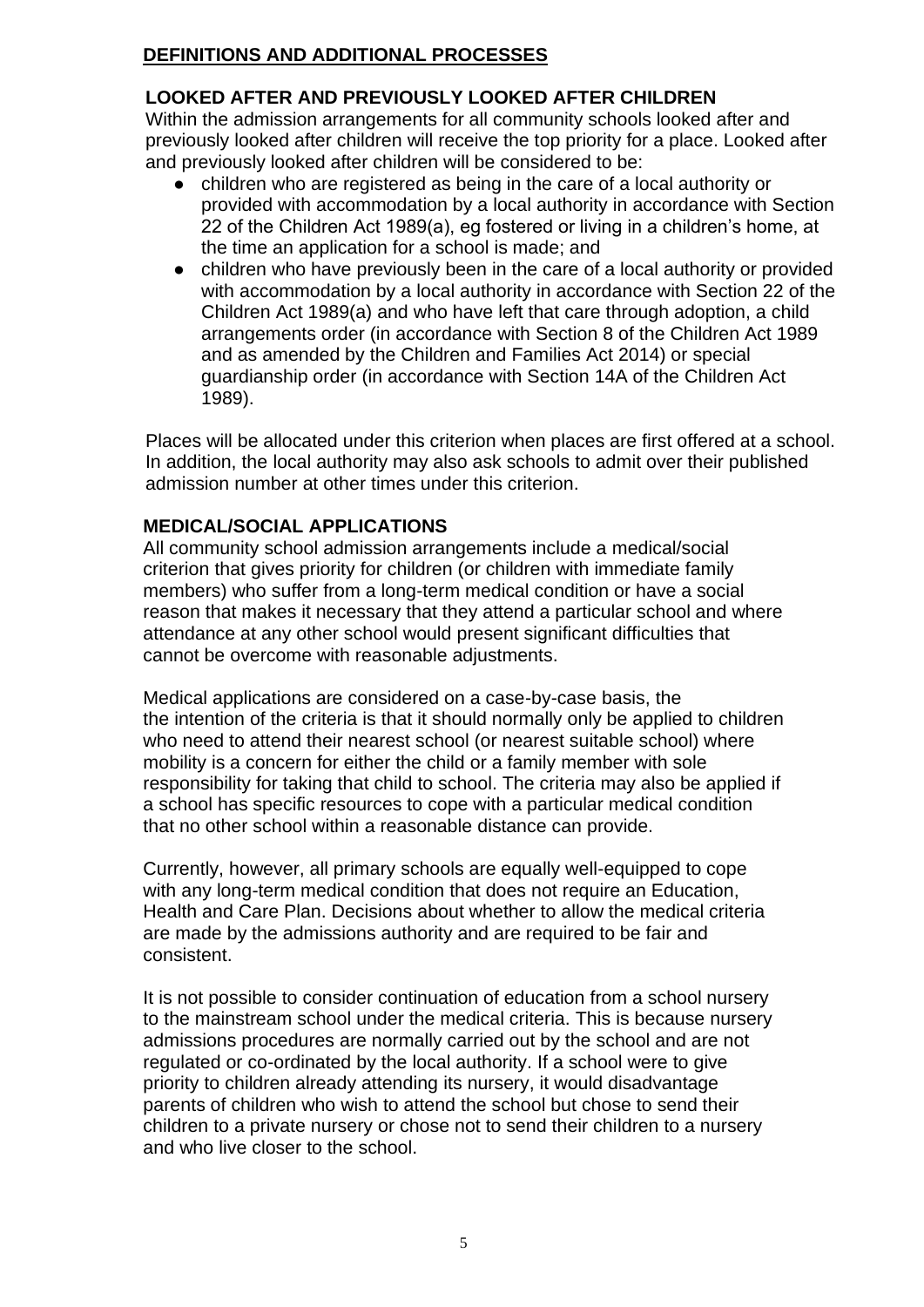### **DEFINITIONS AND ADDITIONAL PROCESSES**

## **LOOKED AFTER AND PREVIOUSLY LOOKED AFTER CHILDREN**

Within the admission arrangements for all community schools looked after and previously looked after children will receive the top priority for a place. Looked after and previously looked after children will be considered to be:

- children who are registered as being in the care of a local authority or provided with accommodation by a local authority in accordance with Section 22 of the Children Act 1989(a), eg fostered or living in a children's home, at the time an application for a school is made; and
- children who have previously been in the care of a local authority or provided with accommodation by a local authority in accordance with Section 22 of the Children Act 1989(a) and who have left that care through adoption, a child arrangements order (in accordance with Section 8 of the Children Act 1989 and as amended by the Children and Families Act 2014) or special guardianship order (in accordance with Section 14A of the Children Act 1989).

Places will be allocated under this criterion when places are first offered at a school. In addition, the local authority may also ask schools to admit over their published admission number at other times under this criterion.

### **MEDICAL/SOCIAL APPLICATIONS**

All community school admission arrangements include a medical/social criterion that gives priority for children (or children with immediate family members) who suffer from a long-term medical condition or have a social reason that makes it necessary that they attend a particular school and where attendance at any other school would present significant difficulties that cannot be overcome with reasonable adjustments.

Medical applications are considered on a case-by-case basis, the the intention of the criteria is that it should normally only be applied to children who need to attend their nearest school (or nearest suitable school) where mobility is a concern for either the child or a family member with sole responsibility for taking that child to school. The criteria may also be applied if a school has specific resources to cope with a particular medical condition that no other school within a reasonable distance can provide.

Currently, however, all primary schools are equally well-equipped to cope with any long-term medical condition that does not require an Education, Health and Care Plan. Decisions about whether to allow the medical criteria are made by the admissions authority and are required to be fair and consistent.

It is not possible to consider continuation of education from a school nursery to the mainstream school under the medical criteria. This is because nursery admissions procedures are normally carried out by the school and are not regulated or co-ordinated by the local authority. If a school were to give priority to children already attending its nursery, it would disadvantage parents of children who wish to attend the school but chose to send their children to a private nursery or chose not to send their children to a nursery and who live closer to the school.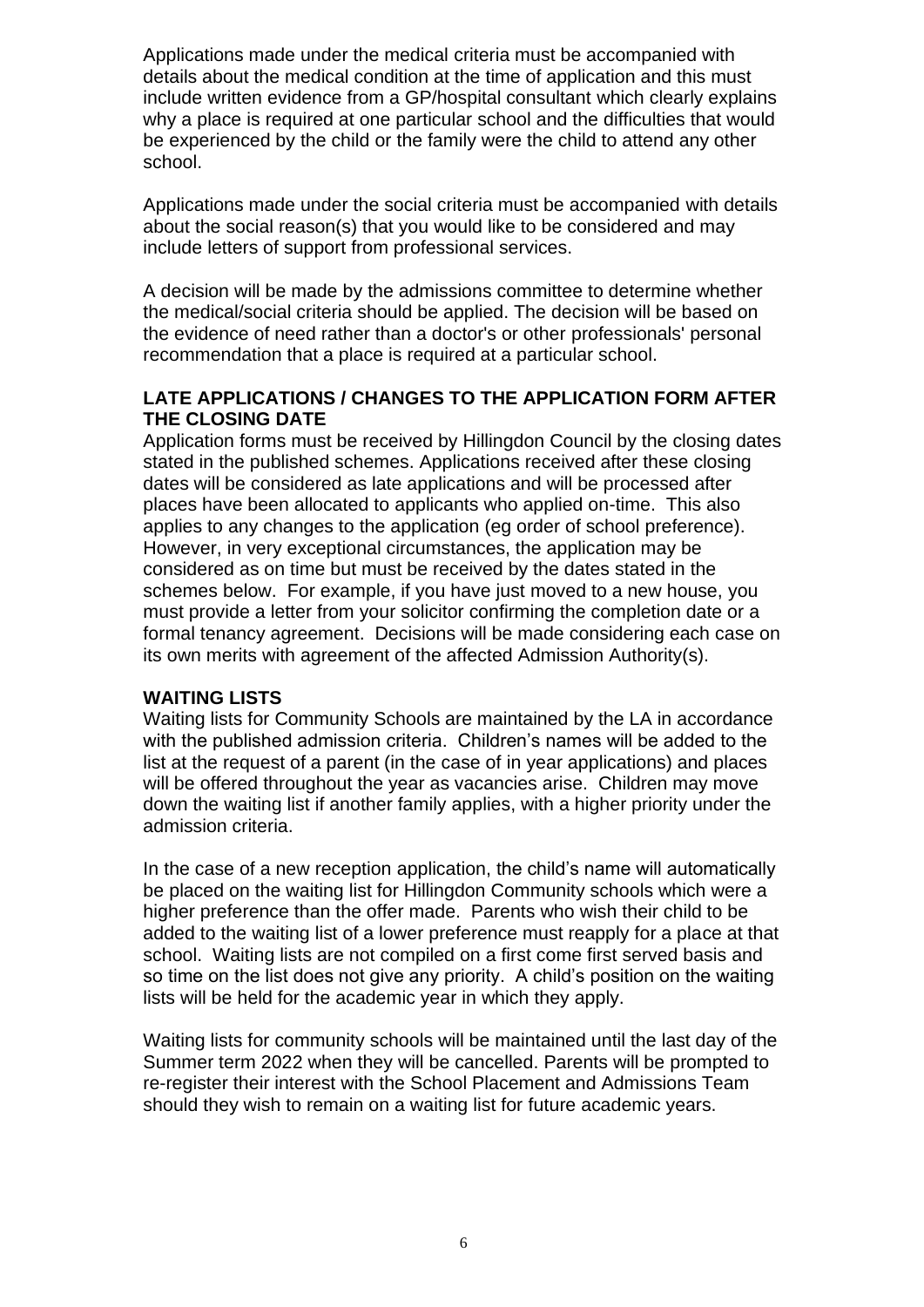Applications made under the medical criteria must be accompanied with details about the medical condition at the time of application and this must include written evidence from a GP/hospital consultant which clearly explains why a place is required at one particular school and the difficulties that would be experienced by the child or the family were the child to attend any other school.

Applications made under the social criteria must be accompanied with details about the social reason(s) that you would like to be considered and may include letters of support from professional services.

A decision will be made by the admissions committee to determine whether the medical/social criteria should be applied. The decision will be based on the evidence of need rather than a doctor's or other professionals' personal recommendation that a place is required at a particular school.

### **LATE APPLICATIONS / CHANGES TO THE APPLICATION FORM AFTER THE CLOSING DATE**

Application forms must be received by Hillingdon Council by the closing dates stated in the published schemes. Applications received after these closing dates will be considered as late applications and will be processed after places have been allocated to applicants who applied on-time. This also applies to any changes to the application (eg order of school preference). However, in very exceptional circumstances, the application may be considered as on time but must be received by the dates stated in the schemes below. For example, if you have just moved to a new house, you must provide a letter from your solicitor confirming the completion date or a formal tenancy agreement. Decisions will be made considering each case on its own merits with agreement of the affected Admission Authority(s).

## **WAITING LISTS**

Waiting lists for Community Schools are maintained by the LA in accordance with the published admission criteria. Children's names will be added to the list at the request of a parent (in the case of in year applications) and places will be offered throughout the year as vacancies arise. Children may move down the waiting list if another family applies, with a higher priority under the admission criteria.

In the case of a new reception application, the child's name will automatically be placed on the waiting list for Hillingdon Community schools which were a higher preference than the offer made. Parents who wish their child to be added to the waiting list of a lower preference must reapply for a place at that school. Waiting lists are not compiled on a first come first served basis and so time on the list does not give any priority. A child's position on the waiting lists will be held for the academic year in which they apply.

Waiting lists for community schools will be maintained until the last day of the Summer term 2022 when they will be cancelled. Parents will be prompted to re-register their interest with the School Placement and Admissions Team should they wish to remain on a waiting list for future academic years.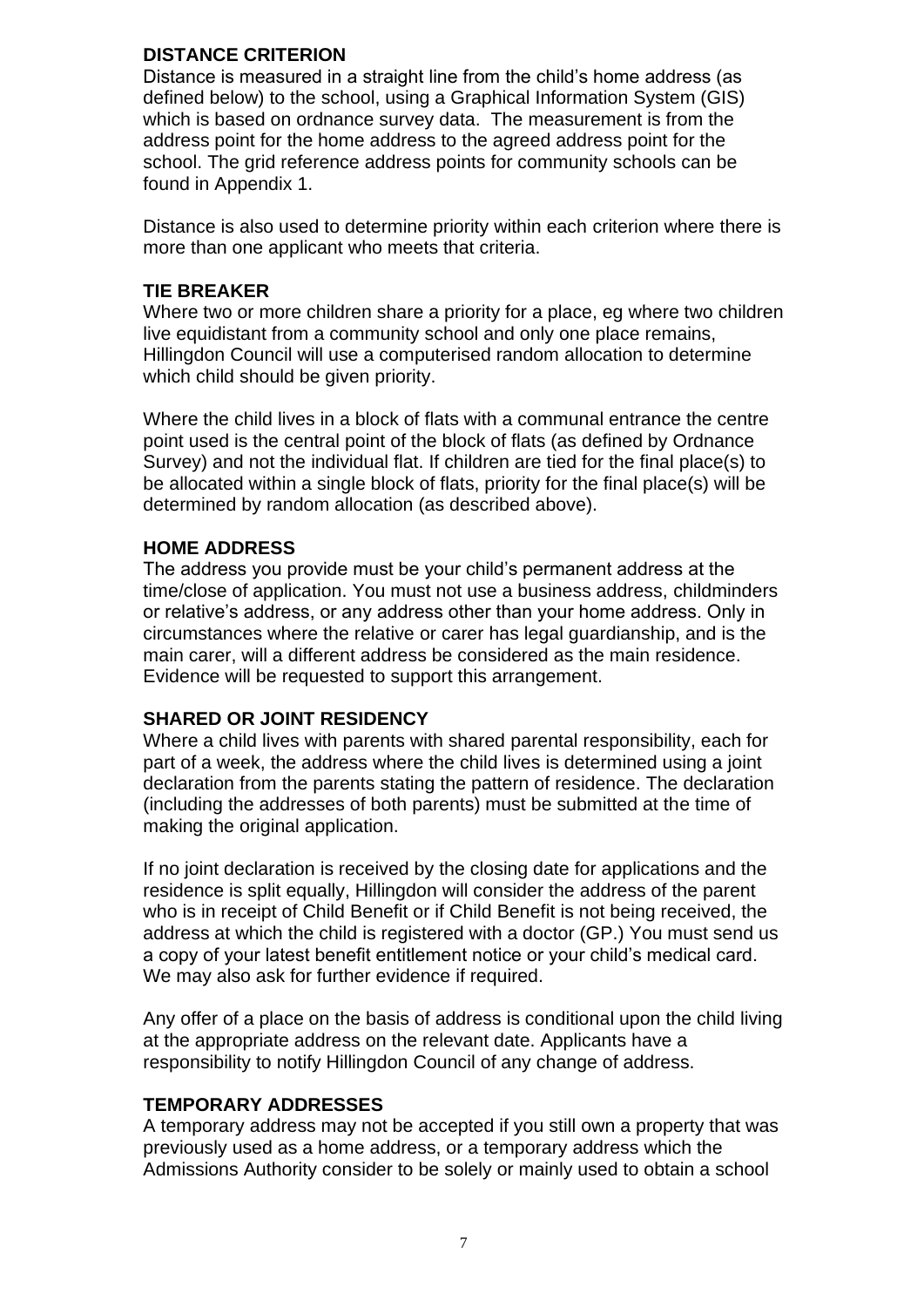### **DISTANCE CRITERION**

Distance is measured in a straight line from the child's home address (as defined below) to the school, using a Graphical Information System (GIS) which is based on ordnance survey data. The measurement is from the address point for the home address to the agreed address point for the school. The grid reference address points for community schools can be found in Appendix 1.

Distance is also used to determine priority within each criterion where there is more than one applicant who meets that criteria.

### **TIE BREAKER**

Where two or more children share a priority for a place, eg where two children live equidistant from a community school and only one place remains, Hillingdon Council will use a computerised random allocation to determine which child should be given priority.

Where the child lives in a block of flats with a communal entrance the centre point used is the central point of the block of flats (as defined by Ordnance Survey) and not the individual flat. If children are tied for the final place(s) to be allocated within a single block of flats, priority for the final place(s) will be determined by random allocation (as described above).

## **HOME ADDRESS**

The address you provide must be your child's permanent address at the time/close of application. You must not use a business address, childminders or relative's address, or any address other than your home address. Only in circumstances where the relative or carer has legal guardianship, and is the main carer, will a different address be considered as the main residence. Evidence will be requested to support this arrangement.

## **SHARED OR JOINT RESIDENCY**

Where a child lives with parents with shared parental responsibility, each for part of a week, the address where the child lives is determined using a joint declaration from the parents stating the pattern of residence. The declaration (including the addresses of both parents) must be submitted at the time of making the original application.

If no joint declaration is received by the closing date for applications and the residence is split equally, Hillingdon will consider the address of the parent who is in receipt of Child Benefit or if Child Benefit is not being received, the address at which the child is registered with a doctor (GP.) You must send us a copy of your latest benefit entitlement notice or your child's medical card. We may also ask for further evidence if required.

Any offer of a place on the basis of address is conditional upon the child living at the appropriate address on the relevant date. Applicants have a responsibility to notify Hillingdon Council of any change of address.

### **TEMPORARY ADDRESSES**

A temporary address may not be accepted if you still own a property that was previously used as a home address, or a temporary address which the Admissions Authority consider to be solely or mainly used to obtain a school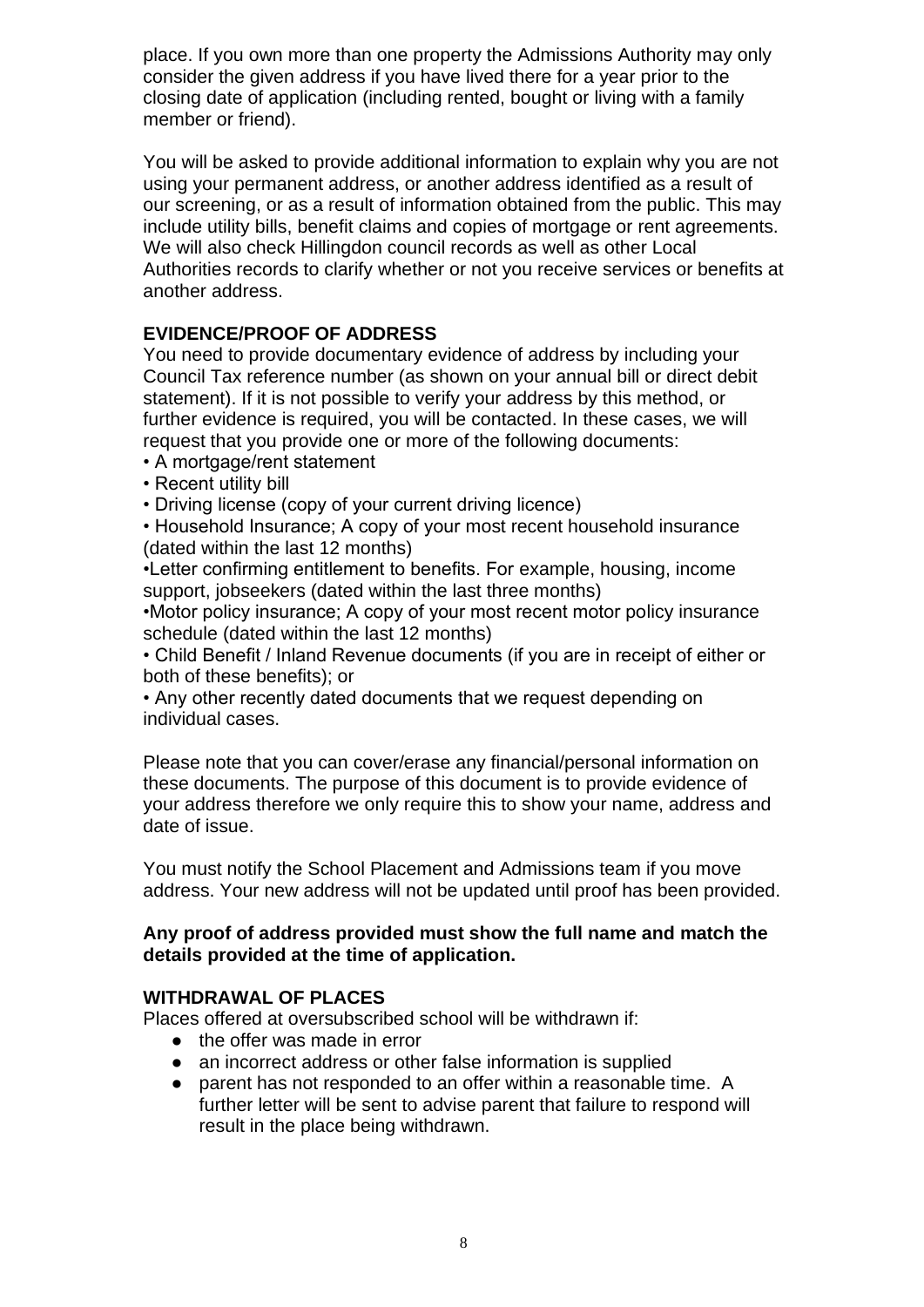place. If you own more than one property the Admissions Authority may only consider the given address if you have lived there for a year prior to the closing date of application (including rented, bought or living with a family member or friend).

You will be asked to provide additional information to explain why you are not using your permanent address, or another address identified as a result of our screening, or as a result of information obtained from the public. This may include utility bills, benefit claims and copies of mortgage or rent agreements. We will also check Hillingdon council records as well as other Local Authorities records to clarify whether or not you receive services or benefits at another address.

## **EVIDENCE/PROOF OF ADDRESS**

You need to provide documentary evidence of address by including your Council Tax reference number (as shown on your annual bill or direct debit statement). If it is not possible to verify your address by this method, or further evidence is required, you will be contacted. In these cases, we will request that you provide one or more of the following documents:

- A mortgage/rent statement
- Recent utility bill

• Driving license (copy of your current driving licence)

• Household Insurance; A copy of your most recent household insurance (dated within the last 12 months)

•Letter confirming entitlement to benefits. For example, housing, income support, jobseekers (dated within the last three months)

•Motor policy insurance; A copy of your most recent motor policy insurance schedule (dated within the last 12 months)

• Child Benefit / Inland Revenue documents (if you are in receipt of either or both of these benefits); or

• Any other recently dated documents that we request depending on individual cases.

Please note that you can cover/erase any financial/personal information on these documents. The purpose of this document is to provide evidence of your address therefore we only require this to show your name, address and date of issue.

You must notify the School Placement and Admissions team if you move address. Your new address will not be updated until proof has been provided.

### **Any proof of address provided must show the full name and match the details provided at the time of application.**

### **WITHDRAWAL OF PLACES**

Places offered at oversubscribed school will be withdrawn if:

- the offer was made in error
- an incorrect address or other false information is supplied
- parent has not responded to an offer within a reasonable time. A further letter will be sent to advise parent that failure to respond will result in the place being withdrawn.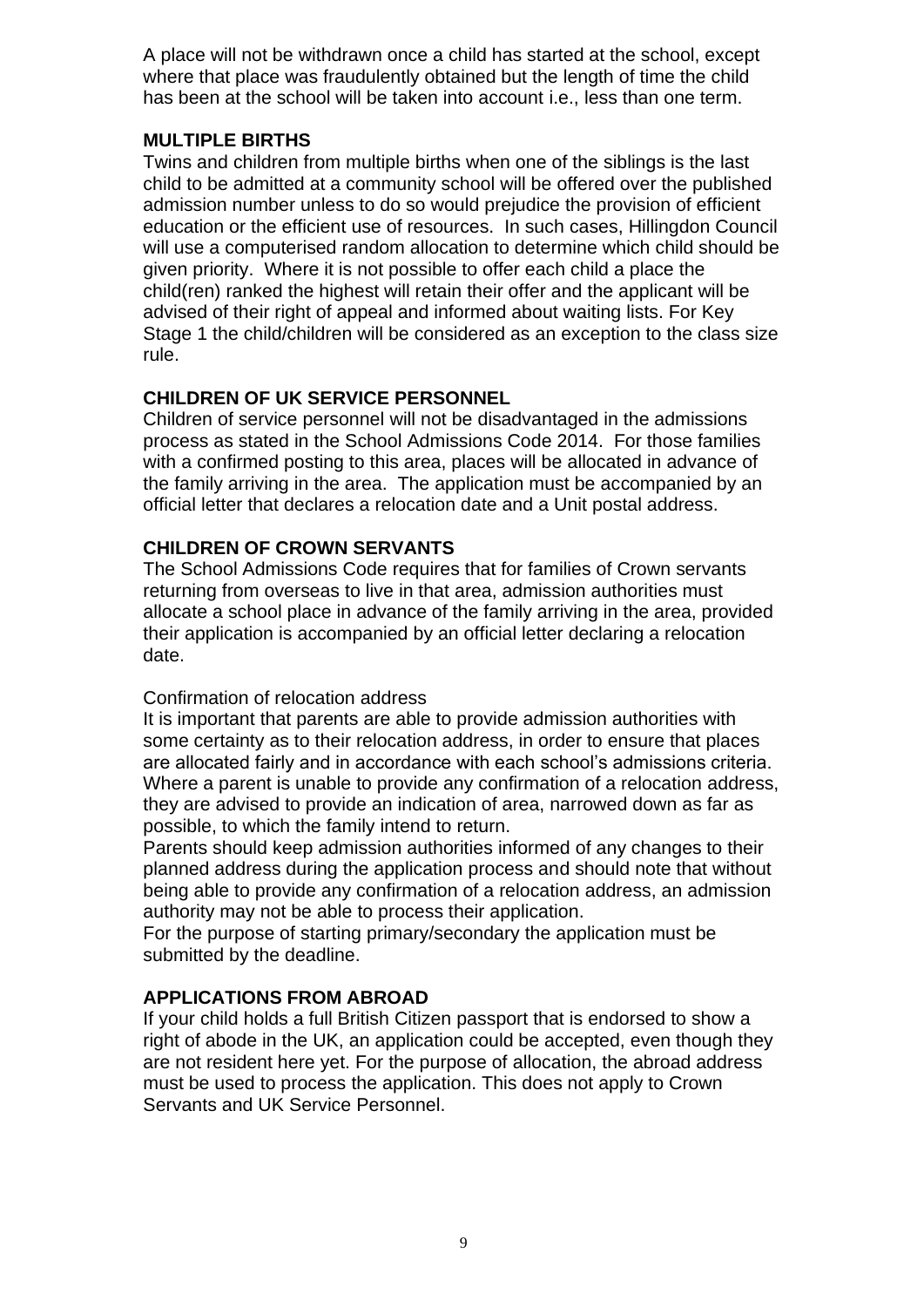A place will not be withdrawn once a child has started at the school, except where that place was fraudulently obtained but the length of time the child has been at the school will be taken into account i.e., less than one term.

## **MULTIPLE BIRTHS**

Twins and children from multiple births when one of the siblings is the last child to be admitted at a community school will be offered over the published admission number unless to do so would prejudice the provision of efficient education or the efficient use of resources. In such cases, Hillingdon Council will use a computerised random allocation to determine which child should be given priority. Where it is not possible to offer each child a place the child(ren) ranked the highest will retain their offer and the applicant will be advised of their right of appeal and informed about waiting lists. For Key Stage 1 the child/children will be considered as an exception to the class size rule.

### **CHILDREN OF UK SERVICE PERSONNEL**

Children of service personnel will not be disadvantaged in the admissions process as stated in the School Admissions Code 2014. For those families with a confirmed posting to this area, places will be allocated in advance of the family arriving in the area. The application must be accompanied by an official letter that declares a relocation date and a Unit postal address.

## **CHILDREN OF CROWN SERVANTS**

The School Admissions Code requires that for families of Crown servants returning from overseas to live in that area, admission authorities must allocate a school place in advance of the family arriving in the area, provided their application is accompanied by an official letter declaring a relocation date.

### Confirmation of relocation address

It is important that parents are able to provide admission authorities with some certainty as to their relocation address, in order to ensure that places are allocated fairly and in accordance with each school's admissions criteria. Where a parent is unable to provide any confirmation of a relocation address, they are advised to provide an indication of area, narrowed down as far as possible, to which the family intend to return.

Parents should keep admission authorities informed of any changes to their planned address during the application process and should note that without being able to provide any confirmation of a relocation address, an admission authority may not be able to process their application.

For the purpose of starting primary/secondary the application must be submitted by the deadline.

## **APPLICATIONS FROM ABROAD**

If your child holds a full British Citizen passport that is endorsed to show a right of abode in the UK, an application could be accepted, even though they are not resident here yet. For the purpose of allocation, the abroad address must be used to process the application. This does not apply to Crown Servants and UK Service Personnel.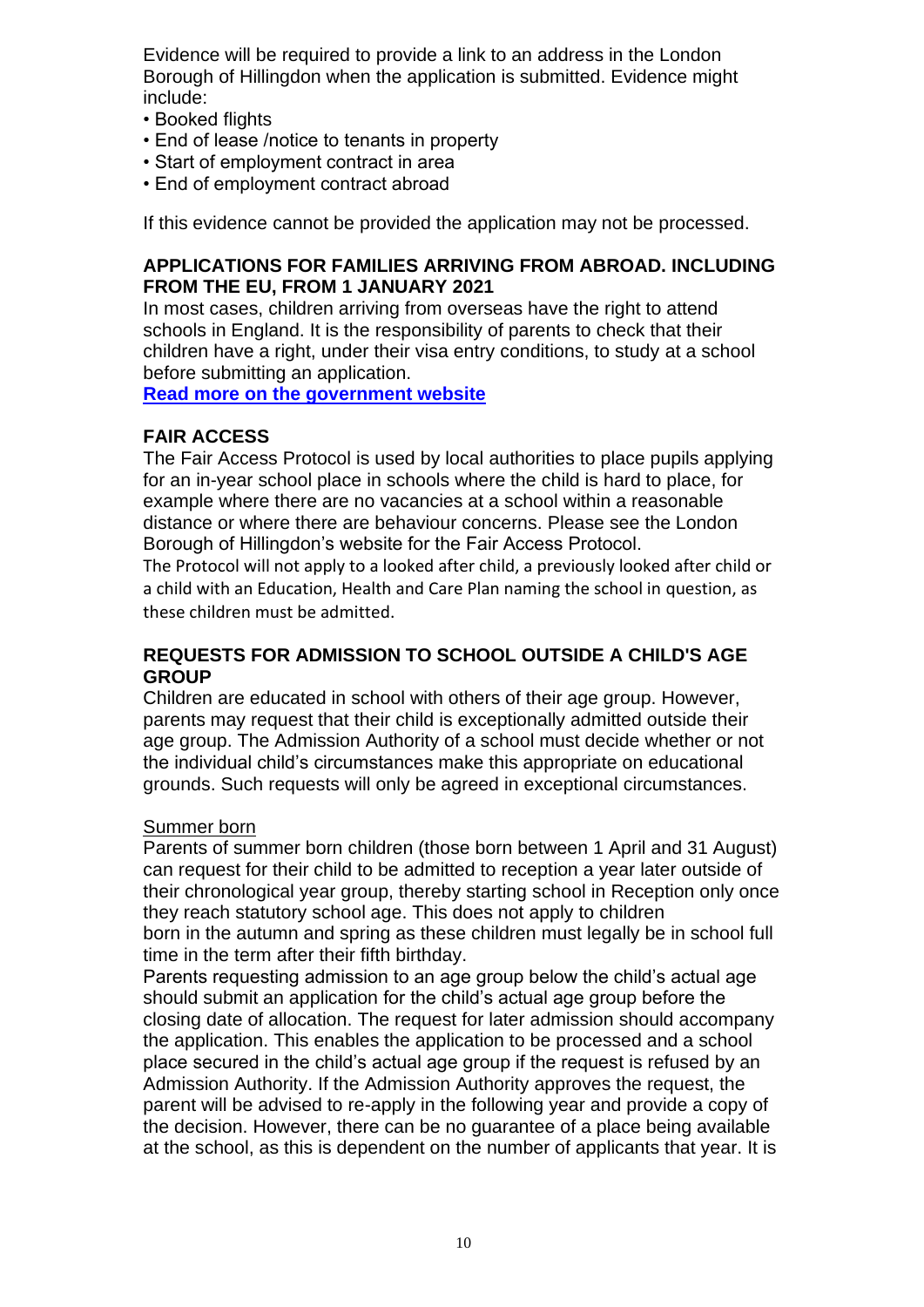Evidence will be required to provide a link to an address in the London Borough of Hillingdon when the application is submitted. Evidence might include:

- Booked flights
- End of lease /notice to tenants in property
- Start of employment contract in area
- End of employment contract abroad

If this evidence cannot be provided the application may not be processed.

### **APPLICATIONS FOR FAMILIES ARRIVING FROM ABROAD. INCLUDING FROM THE EU, FROM 1 JANUARY 2021**

In most cases, children arriving from overseas have the right to attend schools in England. It is the responsibility of parents to check that their children have a right, under their visa entry conditions, to study at a school before submitting an application.

**[Read more on the government website](https://www.gov.uk/guidance/schools-admissions-applications-from-overseas-children)**

### **FAIR ACCESS**

The Fair Access Protocol is used by local authorities to place pupils applying for an in-year school place in schools where the child is hard to place, for example where there are no vacancies at a school within a reasonable distance or where there are behaviour concerns. Please see the London Borough of Hillingdon's website for the Fair Access Protocol.

The Protocol will not apply to a looked after child, a previously looked after child or a child with an Education, Health and Care Plan naming the school in question, as these children must be admitted.

#### **REQUESTS FOR ADMISSION TO SCHOOL OUTSIDE A CHILD'S AGE GROUP**

Children are educated in school with others of their age group. However, parents may request that their child is exceptionally admitted outside their age group. The Admission Authority of a school must decide whether or not the individual child's circumstances make this appropriate on educational grounds. Such requests will only be agreed in exceptional circumstances.

### Summer born

Parents of summer born children (those born between 1 April and 31 August) can request for their child to be admitted to reception a year later outside of their chronological year group, thereby starting school in Reception only once they reach statutory school age. This does not apply to children born in the autumn and spring as these children must legally be in school full time in the term after their fifth birthday.

Parents requesting admission to an age group below the child's actual age should submit an application for the child's actual age group before the closing date of allocation. The request for later admission should accompany the application. This enables the application to be processed and a school place secured in the child's actual age group if the request is refused by an Admission Authority. If the Admission Authority approves the request, the parent will be advised to re-apply in the following year and provide a copy of the decision. However, there can be no guarantee of a place being available at the school, as this is dependent on the number of applicants that year. It is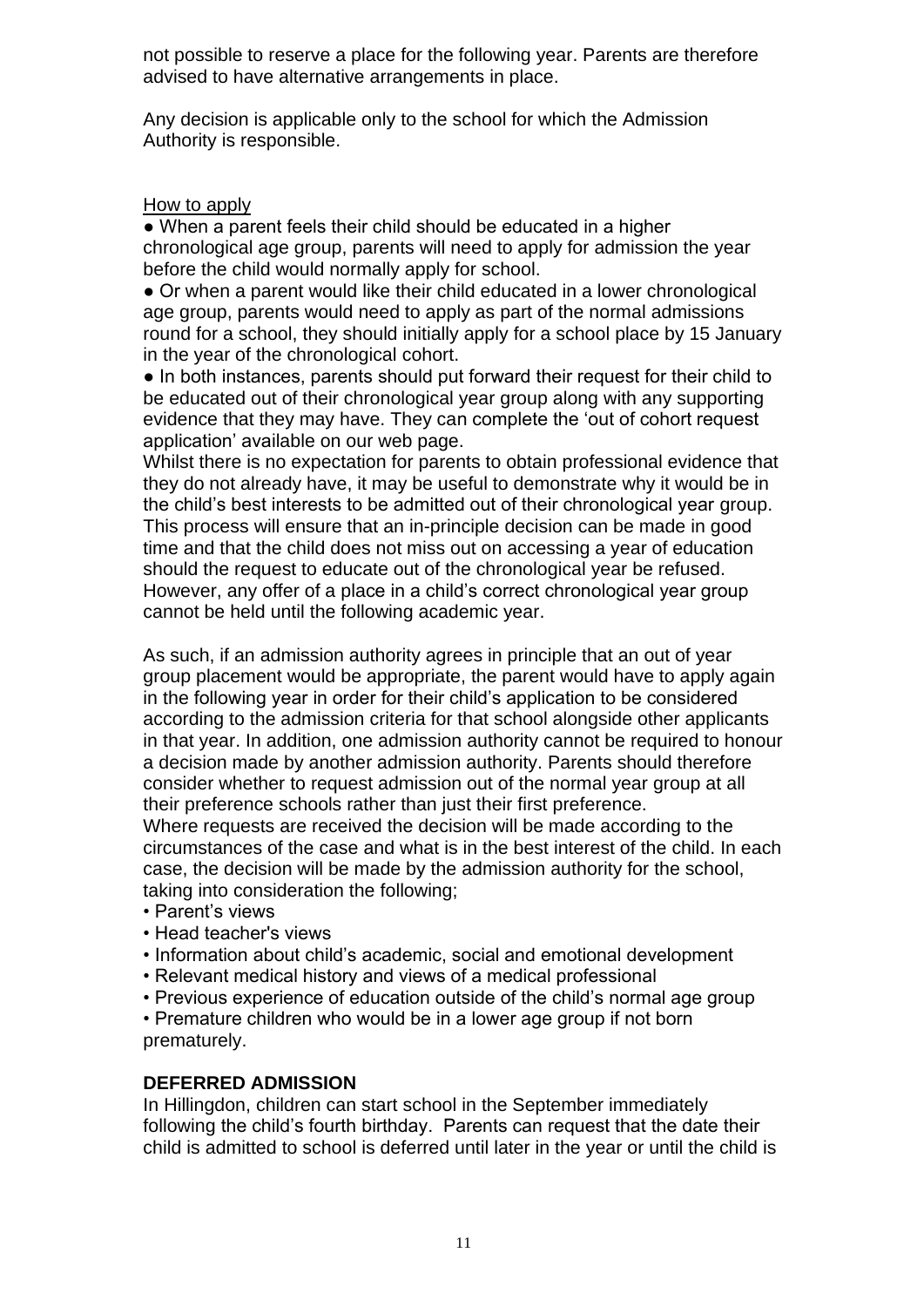not possible to reserve a place for the following year. Parents are therefore advised to have alternative arrangements in place.

Any decision is applicable only to the school for which the Admission Authority is responsible.

### How to apply

• When a parent feels their child should be educated in a higher chronological age group, parents will need to apply for admission the year before the child would normally apply for school.

● Or when a parent would like their child educated in a lower chronological age group, parents would need to apply as part of the normal admissions round for a school, they should initially apply for a school place by 15 January in the year of the chronological cohort.

● In both instances, parents should put forward their request for their child to be educated out of their chronological year group along with any supporting evidence that they may have. They can complete the 'out of cohort request application' available on our web page.

Whilst there is no expectation for parents to obtain professional evidence that they do not already have, it may be useful to demonstrate why it would be in the child's best interests to be admitted out of their chronological year group. This process will ensure that an in-principle decision can be made in good time and that the child does not miss out on accessing a year of education should the request to educate out of the chronological year be refused. However, any offer of a place in a child's correct chronological year group cannot be held until the following academic year.

As such, if an admission authority agrees in principle that an out of year group placement would be appropriate, the parent would have to apply again in the following year in order for their child's application to be considered according to the admission criteria for that school alongside other applicants in that year. In addition, one admission authority cannot be required to honour a decision made by another admission authority. Parents should therefore consider whether to request admission out of the normal year group at all their preference schools rather than just their first preference.

Where requests are received the decision will be made according to the circumstances of the case and what is in the best interest of the child. In each case, the decision will be made by the admission authority for the school, taking into consideration the following;

- Parent's views
- Head teacher's views
- Information about child's academic, social and emotional development
- Relevant medical history and views of a medical professional
- Previous experience of education outside of the child's normal age group

• Premature children who would be in a lower age group if not born prematurely.

## **DEFERRED ADMISSION**

In Hillingdon, children can start school in the September immediately following the child's fourth birthday. Parents can request that the date their child is admitted to school is deferred until later in the year or until the child is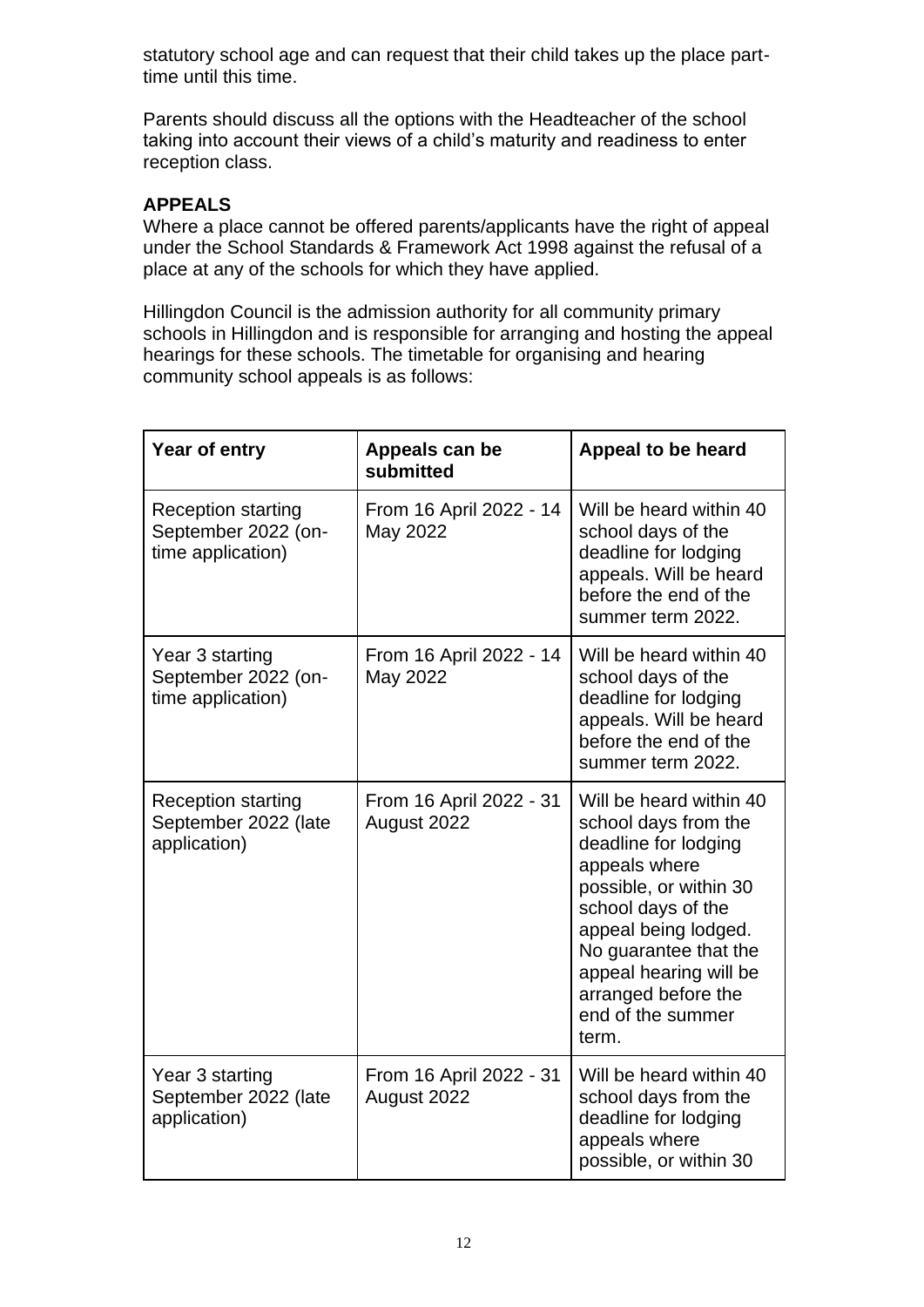statutory school age and can request that their child takes up the place parttime until this time.

Parents should discuss all the options with the Headteacher of the school taking into account their views of a child's maturity and readiness to enter reception class.

## **APPEALS**

Where a place cannot be offered parents/applicants have the right of appeal under the School Standards & Framework Act 1998 against the refusal of a place at any of the schools for which they have applied.

Hillingdon Council is the admission authority for all community primary schools in Hillingdon and is responsible for arranging and hosting the appeal hearings for these schools. The timetable for organising and hearing community school appeals is as follows:

| Year of entry                                                         | Appeals can be<br>submitted            | Appeal to be heard                                                                                                                                                                                                                                                       |
|-----------------------------------------------------------------------|----------------------------------------|--------------------------------------------------------------------------------------------------------------------------------------------------------------------------------------------------------------------------------------------------------------------------|
| <b>Reception starting</b><br>September 2022 (on-<br>time application) | From 16 April 2022 - 14<br>May 2022    | Will be heard within 40<br>school days of the<br>deadline for lodging<br>appeals. Will be heard<br>before the end of the<br>summer term 2022.                                                                                                                            |
| Year 3 starting<br>September 2022 (on-<br>time application)           | From 16 April 2022 - 14<br>May 2022    | Will be heard within 40<br>school days of the<br>deadline for lodging<br>appeals. Will be heard<br>before the end of the<br>summer term 2022.                                                                                                                            |
| <b>Reception starting</b><br>September 2022 (late<br>application)     | From 16 April 2022 - 31<br>August 2022 | Will be heard within 40<br>school days from the<br>deadline for lodging<br>appeals where<br>possible, or within 30<br>school days of the<br>appeal being lodged.<br>No guarantee that the<br>appeal hearing will be<br>arranged before the<br>end of the summer<br>term. |
| Year 3 starting<br>September 2022 (late<br>application)               | From 16 April 2022 - 31<br>August 2022 | Will be heard within 40<br>school days from the<br>deadline for lodging<br>appeals where<br>possible, or within 30                                                                                                                                                       |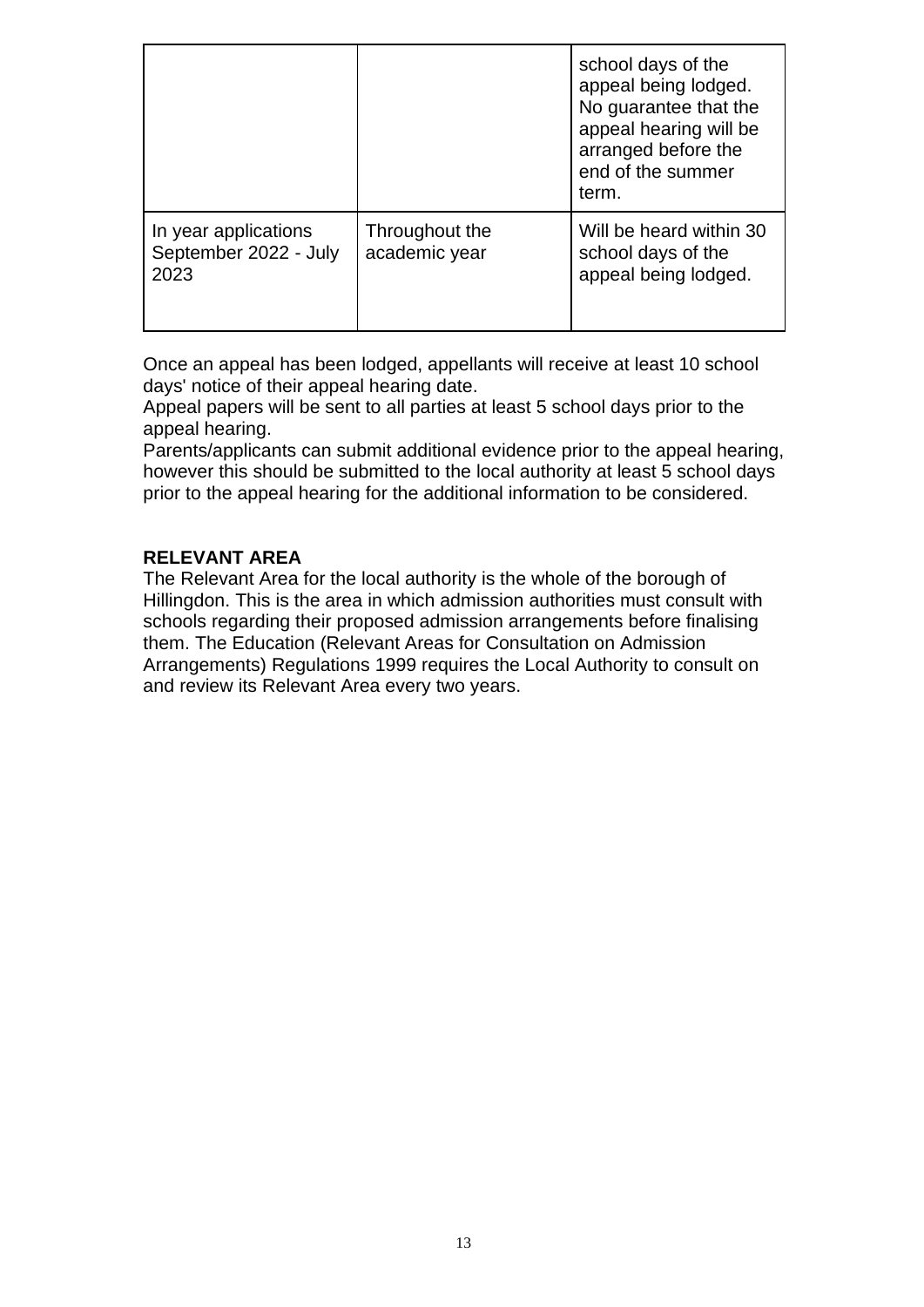|                                                       |                                 | school days of the<br>appeal being lodged.<br>No guarantee that the<br>appeal hearing will be<br>arranged before the<br>end of the summer<br>term. |
|-------------------------------------------------------|---------------------------------|----------------------------------------------------------------------------------------------------------------------------------------------------|
| In year applications<br>September 2022 - July<br>2023 | Throughout the<br>academic year | Will be heard within 30<br>school days of the<br>appeal being lodged.                                                                              |

Once an appeal has been lodged, appellants will receive at least 10 school days' notice of their appeal hearing date.

Appeal papers will be sent to all parties at least 5 school days prior to the appeal hearing.

Parents/applicants can submit additional evidence prior to the appeal hearing, however this should be submitted to the local authority at least 5 school days prior to the appeal hearing for the additional information to be considered.

## **RELEVANT AREA**

The Relevant Area for the local authority is the whole of the borough of Hillingdon. This is the area in which admission authorities must consult with schools regarding their proposed admission arrangements before finalising them. The Education (Relevant Areas for Consultation on Admission Arrangements) Regulations 1999 requires the Local Authority to consult on and review its Relevant Area every two years.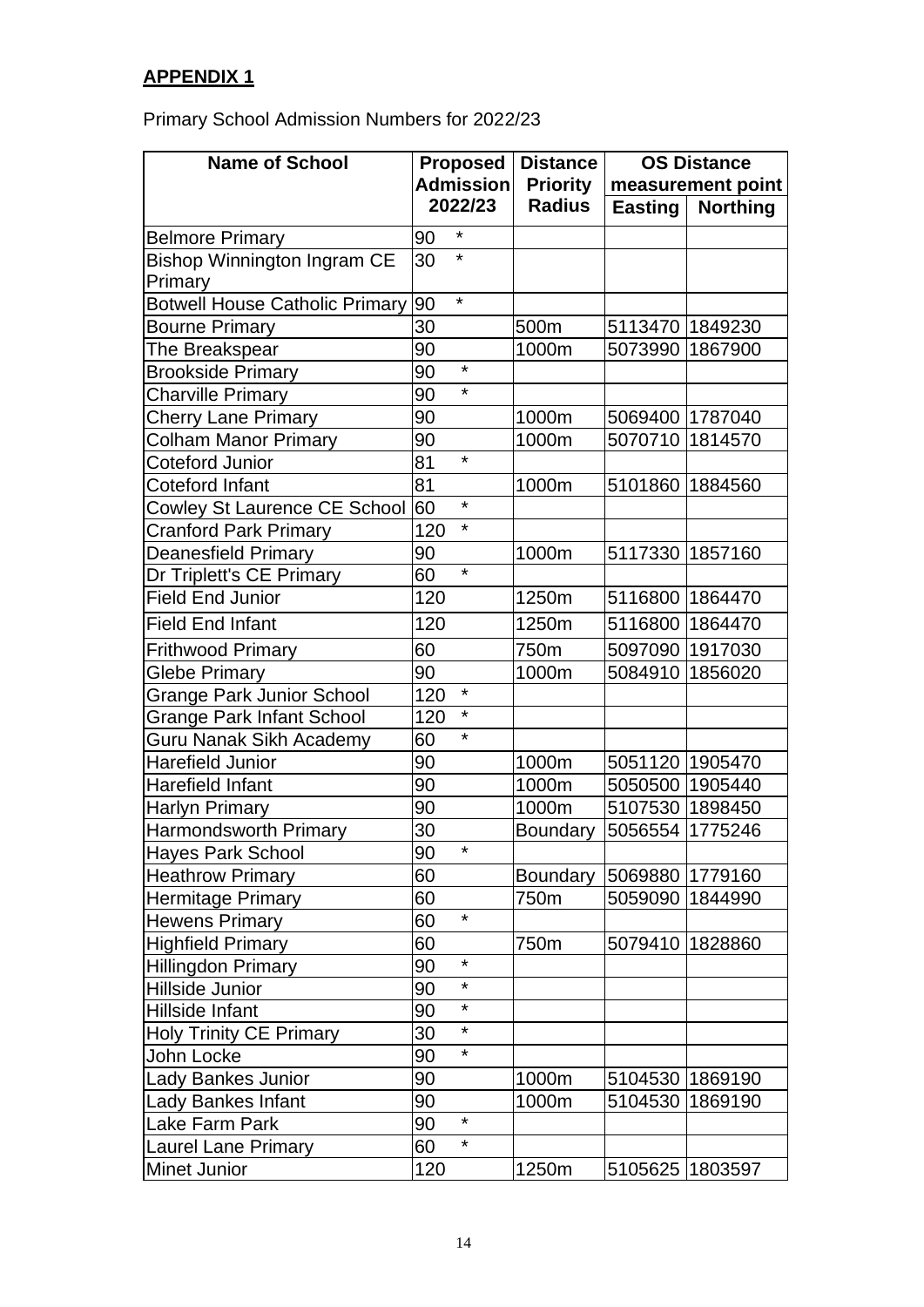## **APPENDIX 1**

Primary School Admission Numbers for 2022/23

| <b>Name of School</b>                 |                  | <b>Proposed</b> | <b>Distance</b> | <b>OS Distance</b> |                 |
|---------------------------------------|------------------|-----------------|-----------------|--------------------|-----------------|
|                                       | <b>Admission</b> |                 | <b>Priority</b> | measurement point  |                 |
|                                       |                  | 2022/23         | <b>Radius</b>   | <b>Easting</b>     | <b>Northing</b> |
| <b>Belmore Primary</b>                | 90               | $\star$         |                 |                    |                 |
| <b>Bishop Winnington Ingram CE</b>    | 30               | $\star$         |                 |                    |                 |
| Primary                               |                  |                 |                 |                    |                 |
| <b>Botwell House Catholic Primary</b> | 90               | $\star$         |                 |                    |                 |
| <b>Bourne Primary</b>                 | 30               |                 | 500m            | 5113470 1849230    |                 |
| The Breakspear                        | 90               |                 | 1000m           | 5073990            | 1867900         |
| <b>Brookside Primary</b>              | 90               | $\star$         |                 |                    |                 |
| <b>Charville Primary</b>              | 90               | $\star$         |                 |                    |                 |
| <b>Cherry Lane Primary</b>            | 90               |                 | 1000m           | 5069400 1787040    |                 |
| <b>Colham Manor Primary</b>           | 90               |                 | 1000m           | 5070710 1814570    |                 |
| <b>Coteford Junior</b>                | 81               | $\star$         |                 |                    |                 |
| Coteford Infant                       | 81               |                 | 1000m           | 5101860 1884560    |                 |
| <b>Cowley St Laurence CE School</b>   | 60               | $\star$         |                 |                    |                 |
| <b>Cranford Park Primary</b>          | 120              | $\star$         |                 |                    |                 |
| <b>Deanesfield Primary</b>            | 90               |                 | 1000m           | 5117330 1857160    |                 |
| Dr Triplett's CE Primary              | 60               | $\star$         |                 |                    |                 |
| <b>Field End Junior</b>               | 120              |                 | 1250m           | 5116800 1864470    |                 |
| <b>Field End Infant</b>               | 120              |                 | 1250m           | 5116800 1864470    |                 |
| <b>Frithwood Primary</b>              | 60               |                 | 750m            | 5097090 1917030    |                 |
| Glebe Primary                         | 90               |                 | 1000m           | 5084910            | 1856020         |
| Grange Park Junior School             | 120              | $\star$         |                 |                    |                 |
| <b>Grange Park Infant School</b>      | 120              | $\star$         |                 |                    |                 |
| Guru Nanak Sikh Academy               | 60               | $\star$         |                 |                    |                 |
| <b>Harefield Junior</b>               | 90               |                 | 1000m           | 5051120 1905470    |                 |
| Harefield Infant                      | 90               |                 | 1000m           | 5050500 1905440    |                 |
| Harlyn Primary                        | 90               |                 | 1000m           | 5107530 1898450    |                 |
| Harmondsworth Primary                 | 30               |                 | <b>Boundary</b> | 5056554 1775246    |                 |
| Hayes Park School                     | 90               |                 |                 |                    |                 |
| <b>Heathrow Primary</b>               | 60               |                 | <b>Boundary</b> | 5069880 1779160    |                 |
| Hermitage Primary                     | 60               |                 | 750m            | 5059090            | 1844990         |
| <b>Hewens Primary</b>                 | 60               | $\star$         |                 |                    |                 |
| <b>Highfield Primary</b>              | 60               |                 | 750m            | 5079410 1828860    |                 |
| Hillingdon Primary                    | 90               | $\star$         |                 |                    |                 |
| Hillside Junior                       | 90               | $\star$         |                 |                    |                 |
| Hillside Infant                       | 90               | *               |                 |                    |                 |
| <b>Holy Trinity CE Primary</b>        | 30               | $^\star$        |                 |                    |                 |
| John Locke                            | 90               | $\star$         |                 |                    |                 |
| <b>Lady Bankes Junior</b>             | 90               |                 | 1000m           | 5104530 1869190    |                 |
| <b>Lady Bankes Infant</b>             | 90               |                 | 1000m           | 5104530            | 1869190         |
| Lake Farm Park                        | 90               | $\star$         |                 |                    |                 |
| <b>Laurel Lane Primary</b>            | 60               | $\star$         |                 |                    |                 |
| Minet Junior                          | 120              |                 | 1250m           | 5105625 1803597    |                 |